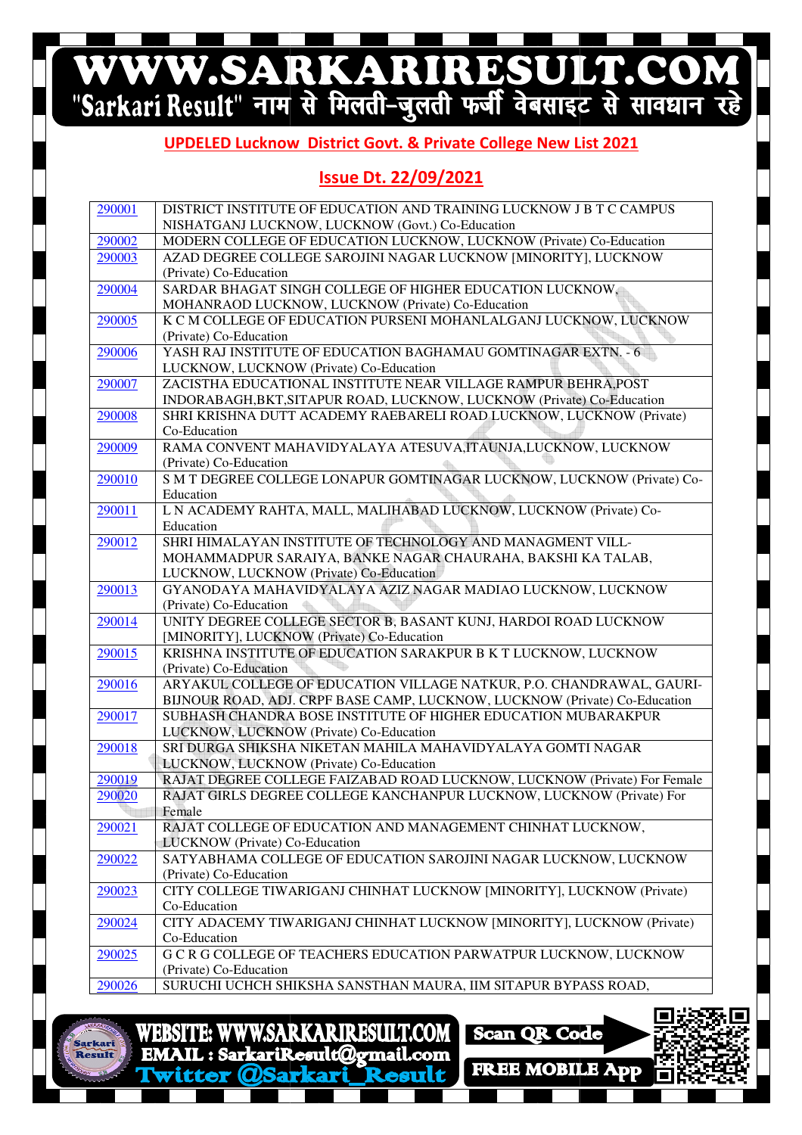# WWW.SARKARIRESULT.COM

#### **UPDELED Lucknow Lucknow District Govt. & Private College New List 2021**

#### **Issue Dt. 22/09/2021**

| 290001 | DISTRICT INSTITUTE OF EDUCATION AND TRAINING LUCKNOW J B T C CAMPUS                                                                         |
|--------|---------------------------------------------------------------------------------------------------------------------------------------------|
|        | NISHATGANJ LUCKNOW, LUCKNOW (Govt.) Co-Education                                                                                            |
| 290002 | MODERN COLLEGE OF EDUCATION LUCKNOW, LUCKNOW (Private) Co-Education                                                                         |
| 290003 | AZAD DEGREE COLLEGE SAROJINI NAGAR LUCKNOW [MINORITY], LUCKNOW                                                                              |
|        | (Private) Co-Education                                                                                                                      |
| 290004 | SARDAR BHAGAT SINGH COLLEGE OF HIGHER EDUCATION LUCKNOW,                                                                                    |
|        | MOHANRAOD LUCKNOW, LUCKNOW (Private) Co-Education                                                                                           |
| 290005 | K C M COLLEGE OF EDUCATION PURSENI MOHANLALGANJ LUCKNOW, LUCKNOW                                                                            |
|        | (Private) Co-Education                                                                                                                      |
| 290006 | YASH RAJ INSTITUTE OF EDUCATION BAGHAMAU GOMTINAGAR EXTN. - 6                                                                               |
|        | LUCKNOW, LUCKNOW (Private) Co-Education                                                                                                     |
| 290007 | ZACISTHA EDUCATIONAL INSTITUTE NEAR VILLAGE RAMPUR BEHRA, POST                                                                              |
|        | INDORABAGH, BKT, SITAPUR ROAD, LUCKNOW, LUCKNOW (Private) Co-Education                                                                      |
| 290008 | SHRI KRISHNA DUTT ACADEMY RAEBARELI ROAD LUCKNOW, LUCKNOW (Private)                                                                         |
| 290009 | Co-Education<br>RAMA CONVENT MAHAVIDYALAYA ATESUVA, ITAUNJA, LUCKNOW, LUCKNOW                                                               |
|        | (Private) Co-Education                                                                                                                      |
| 290010 | S M T DEGREE COLLEGE LONAPUR GOMTINAGAR LUCKNOW, LUCKNOW (Private) Co-                                                                      |
|        | Education                                                                                                                                   |
| 290011 | L N ACADEMY RAHTA, MALL, MALIHABAD LUCKNOW, LUCKNOW (Private) Co-                                                                           |
|        | Education                                                                                                                                   |
| 290012 | SHRI HIMALAYAN INSTITUTE OF TECHNOLOGY AND MANAGMENT VILL-                                                                                  |
|        | MOHAMMADPUR SARAIYA, BANKE NAGAR CHAURAHA, BAKSHI KA TALAB,                                                                                 |
|        | LUCKNOW, LUCKNOW (Private) Co-Education                                                                                                     |
| 290013 | GYANODAYA MAHAVIDYALAYA AZIZ NAGAR MADIAO LUCKNOW, LUCKNOW                                                                                  |
|        | (Private) Co-Education                                                                                                                      |
| 290014 | UNITY DEGREE COLLEGE SECTOR B, BASANT KUNJ, HARDOI ROAD LUCKNOW                                                                             |
|        | [MINORITY], LUCKNOW (Private) Co-Education                                                                                                  |
| 290015 | KRISHNA INSTITUTE OF EDUCATION SARAKPUR B K T LUCKNOW, LUCKNOW                                                                              |
|        | (Private) Co-Education                                                                                                                      |
| 290016 | ARYAKUL COLLEGE OF EDUCATION VILLAGE NATKUR, P.O. CHANDRAWAL, GAURI-                                                                        |
|        | BIJNOUR ROAD, ADJ. CRPF BASE CAMP, LUCKNOW, LUCKNOW (Private) Co-Education<br>SUBHASH CHANDRA BOSE INSTITUTE OF HIGHER EDUCATION MUBARAKPUR |
| 290017 | LUCKNOW, LUCKNOW (Private) Co-Education                                                                                                     |
| 290018 | SRI DURGA SHIKSHA NIKETAN MAHILA MAHAVIDYALAYA GOMTI NAGAR                                                                                  |
|        | LUCKNOW, LUCKNOW (Private) Co-Education                                                                                                     |
| 290019 | RAJAT DEGREE COLLEGE FAIZABAD ROAD LUCKNOW, LUCKNOW (Private) For Female                                                                    |
| 290020 | RAJAT GIRLS DEGREE COLLEGE KANCHANPUR LUCKNOW, LUCKNOW (Private) For                                                                        |
|        | Female                                                                                                                                      |
| 290021 | RAJAT COLLEGE OF EDUCATION AND MANAGEMENT CHINHAT LUCKNOW,                                                                                  |
|        | LUCKNOW (Private) Co-Education                                                                                                              |
| 290022 | SATYABHAMA COLLEGE OF EDUCATION SAROJINI NAGAR LUCKNOW, LUCKNOW                                                                             |
|        | (Private) Co-Education                                                                                                                      |
| 290023 | CITY COLLEGE TIWARIGANJ CHINHAT LUCKNOW [MINORITY], LUCKNOW (Private)                                                                       |
|        | Co-Education                                                                                                                                |
| 290024 | CITY ADACEMY TIWARIGANJ CHINHAT LUCKNOW [MINORITY], LUCKNOW (Private)                                                                       |
|        | Co-Education                                                                                                                                |
| 290025 | G C R G COLLEGE OF TEACHERS EDUCATION PARWATPUR LUCKNOW, LUCKNOW                                                                            |
|        | (Private) Co-Education                                                                                                                      |
| 290026 | SURUCHI UCHCH SHIKSHA SANSTHAN MAURA, IIM SITAPUR BYPASS ROAD,                                                                              |



**WWW.SARKARIRESULT.COM WEBSITE:** EMAIL: SarkariResult@gmail.com

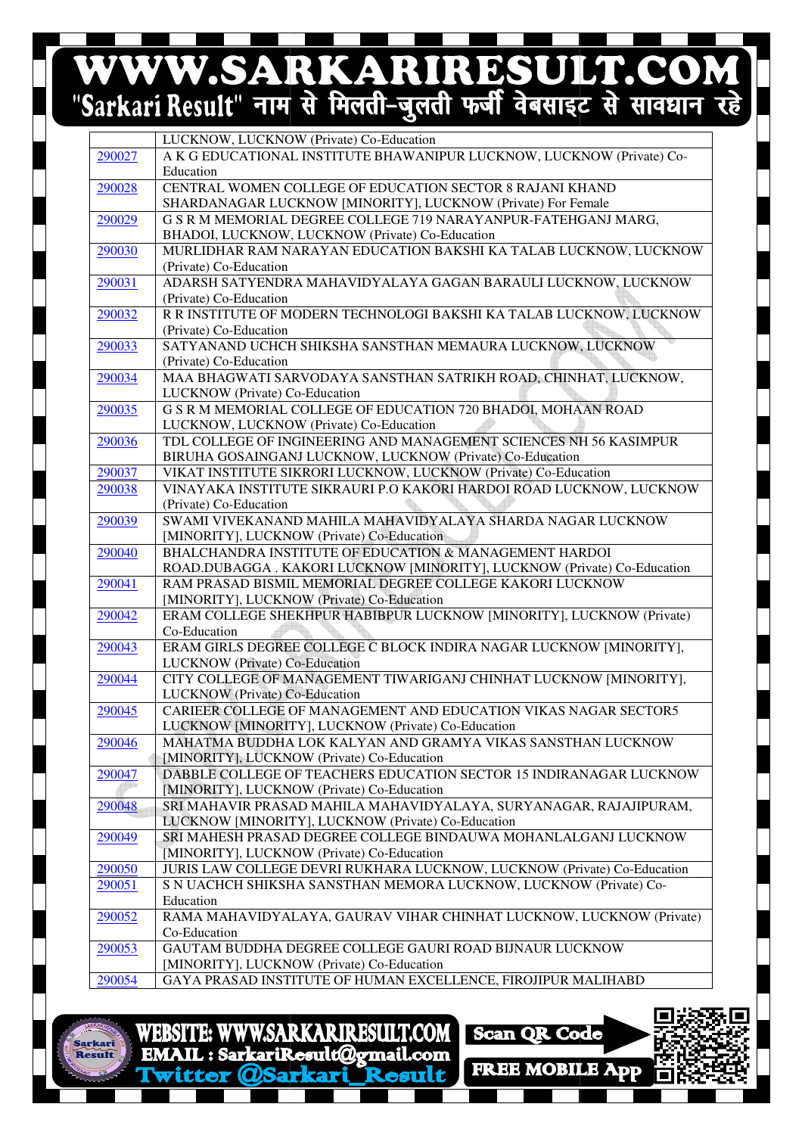# WWW.SARKARIRESULT.COM

|        | LUCKNOW, LUCKNOW (Private) Co-Education                                                                      |
|--------|--------------------------------------------------------------------------------------------------------------|
|        |                                                                                                              |
| 290027 | A K G EDUCATIONAL INSTITUTE BHAWANIPUR LUCKNOW, LUCKNOW (Private) Co-                                        |
|        | Education                                                                                                    |
| 290028 | CENTRAL WOMEN COLLEGE OF EDUCATION SECTOR 8 RAJANI KHAND                                                     |
|        | SHARDANAGAR LUCKNOW [MINORITY], LUCKNOW (Private) For Female                                                 |
| 290029 | G S R M MEMORIAL DEGREE COLLEGE 719 NARAYANPUR-FATEHGANJ MARG,                                               |
|        | BHADOI, LUCKNOW, LUCKNOW (Private) Co-Education                                                              |
| 290030 | MURLIDHAR RAM NARAYAN EDUCATION BAKSHI KA TALAB LUCKNOW, LUCKNOW                                             |
|        | (Private) Co-Education                                                                                       |
| 290031 | ADARSH SATYENDRA MAHAVIDYALAYA GAGAN BARAULI LUCKNOW, LUCKNOW                                                |
|        | (Private) Co-Education                                                                                       |
| 290032 | R R INSTITUTE OF MODERN TECHNOLOGI BAKSHI KA TALAB LUCKNOW, LUCKNOW                                          |
|        | (Private) Co-Education                                                                                       |
| 290033 | SATYANAND UCHCH SHIKSHA SANSTHAN MEMAURA LUCKNOW, LUCKNOW                                                    |
|        | (Private) Co-Education                                                                                       |
| 290034 | MAA BHAGWATI SARVODAYA SANSTHAN SATRIKH ROAD, CHINHAT, LUCKNOW,                                              |
|        | LUCKNOW (Private) Co-Education                                                                               |
| 290035 | G S R M MEMORIAL COLLEGE OF EDUCATION 720 BHADOI, MOHAAN ROAD                                                |
|        |                                                                                                              |
|        | LUCKNOW, LUCKNOW (Private) Co-Education<br>TDL COLLEGE OF INGINEERING AND MANAGEMENT SCIENCES NH 56 KASIMPUR |
| 290036 |                                                                                                              |
|        | BIRUHA GOSAINGANJ LUCKNOW, LUCKNOW (Private) Co-Education                                                    |
| 290037 | VIKAT INSTITUTE SIKRORI LUCKNOW, LUCKNOW (Private) Co-Education                                              |
| 290038 | VINAYAKA INSTITUTE SIKRAURI P.O KAKORI HARDOI ROAD LUCKNOW, LUCKNOW                                          |
|        | (Private) Co-Education                                                                                       |
| 290039 | SWAMI VIVEKANAND MAHILA MAHAVIDYALAYA SHARDA NAGAR LUCKNOW                                                   |
|        | [MINORITY], LUCKNOW (Private) Co-Education                                                                   |
| 290040 | BHALCHANDRA INSTITUTE OF EDUCATION & MANAGEMENT HARDOI                                                       |
|        | ROAD.DUBAGGA . KAKORI LUCKNOW [MINORITY], LUCKNOW (Private) Co-Education                                     |
| 290041 | RAM PRASAD BISMIL MEMORIAL DEGREE COLLEGE KAKORI LUCKNOW                                                     |
|        | [MINORITY], LUCKNOW (Private) Co-Education                                                                   |
| 290042 | ERAM COLLEGE SHEKHPUR HABIBPUR LUCKNOW [MINORITY], LUCKNOW (Private)                                         |
|        | Co-Education                                                                                                 |
| 290043 | ERAM GIRLS DEGREE COLLEGE C BLOCK INDIRA NAGAR LUCKNOW [MINORITY],                                           |
|        | LUCKNOW (Private) Co-Education                                                                               |
| 290044 | CITY COLLEGE OF MANAGEMENT TIWARIGANJ CHINHAT LUCKNOW [MINORITY],                                            |
|        | LUCKNOW (Private) Co-Education                                                                               |
| 290045 | CARIEER COLLEGE OF MANAGEMENT AND EDUCATION VIKAS NAGAR SECTOR5                                              |
|        | LUCKNOW [MINORITY], LUCKNOW (Private) Co-Education                                                           |
| 290046 | MAHATMA BUDDHA LOK KALYAN AND GRAMYA VIKAS SANSTHAN LUCKNOW                                                  |
|        | [MINORITY], LUCKNOW (Private) Co-Education                                                                   |
| 290047 | DABBLE COLLEGE OF TEACHERS EDUCATION SECTOR 15 INDIRANAGAR LUCKNOW                                           |
|        | [MINORITY], LUCKNOW (Private) Co-Education                                                                   |
| 290048 | SRI MAHAVIR PRASAD MAHILA MAHAVIDYALAYA, SURYANAGAR, RAJAJIPURAM,                                            |
|        | LUCKNOW [MINORITY], LUCKNOW (Private) Co-Education                                                           |
| 290049 | SRI MAHESH PRASAD DEGREE COLLEGE BINDAUWA MOHANLALGANJ LUCKNOW                                               |
|        | [MINORITY], LUCKNOW (Private) Co-Education                                                                   |
| 290050 | JURIS LAW COLLEGE DEVRI RUKHARA LUCKNOW, LUCKNOW (Private) Co-Education                                      |
| 290051 | S N UACHCH SHIKSHA SANSTHAN MEMORA LUCKNOW, LUCKNOW (Private) Co-                                            |
|        | Education                                                                                                    |
| 290052 | RAMA MAHAVIDYALAYA, GAURAV VIHAR CHINHAT LUCKNOW, LUCKNOW (Private)                                          |
|        | Co-Education                                                                                                 |
| 290053 | GAUTAM BUDDHA DEGREE COLLEGE GAURI ROAD BIJNAUR LUCKNOW                                                      |
|        | [MINORITY], LUCKNOW (Private) Co-Education                                                                   |
| 290054 | GAYA PRASAD INSTITUTE OF HUMAN EXCELLENCE, FIROJIPUR MALIHABD                                                |
|        |                                                                                                              |

WEBSITE: WWW.SARKARIRESULT.COM EMAIL: SarkariResult@gmail.com witter OSarkari

Scan QR Code **FREE MOBILE App**